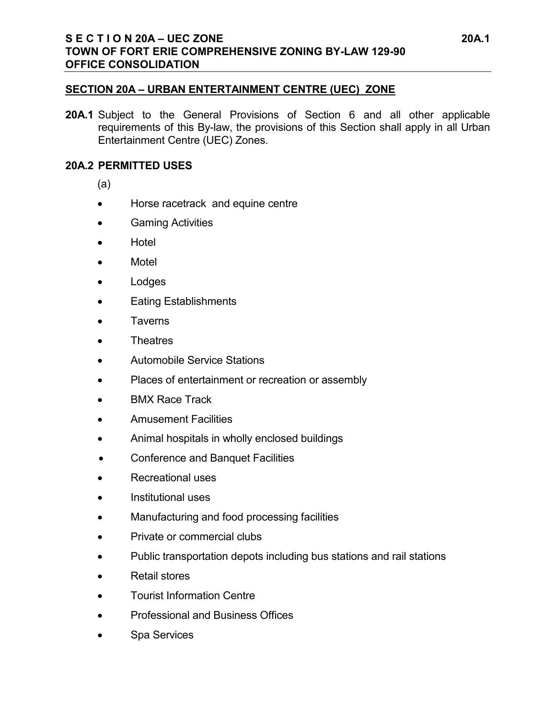## **SECTION 20A – URBAN ENTERTAINMENT CENTRE (UEC) ZONE**

**20A.1** Subject to the General Provisions of Section 6 and all other applicable requirements of this By-law, the provisions of this Section shall apply in all Urban Entertainment Centre (UEC) Zones.

## **20A.2 PERMITTED USES**

(a)

- Horse racetrack and equine centre
- Gaming Activities
- Hotel
- Motel
- Lodges
- Eating Establishments
- Taverns
- Theatres
- Automobile Service Stations
- Places of entertainment or recreation or assembly
- BMX Race Track
- Amusement Facilities
- Animal hospitals in wholly enclosed buildings
- Conference and Banquet Facilities
- Recreational uses
- Institutional uses
- Manufacturing and food processing facilities
- Private or commercial clubs
- Public transportation depots including bus stations and rail stations
- Retail stores
- Tourist Information Centre
- Professional and Business Offices
- Spa Services